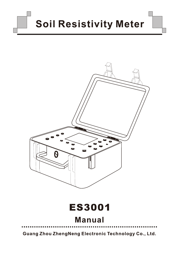# **Soil Resistivity Meter**



Guang Zhou ZhengNeng Electronic Technology Co., Ltd.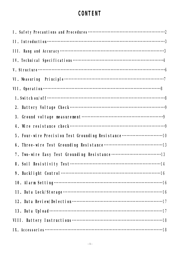# **CONTENT**

| 5. Four-wire Precision Test Grounding Resistance 10 |
|-----------------------------------------------------|
|                                                     |
|                                                     |
|                                                     |
|                                                     |
|                                                     |
|                                                     |
|                                                     |
|                                                     |
|                                                     |
|                                                     |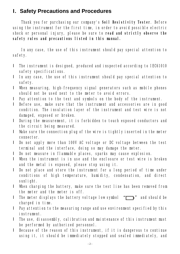## **I.Safety Precautions and Procedures**

Thank you for purchasing our company's **Soil Resistivity Tester**. Before using the instrument for the first time, in order to avoid possible electric shock or personal injury, please be sure to **read and strictly observe the safety rules and precautions listed in this manual.** 

In any case, the use of this instrument should pay special attention to safety.

- l The instrument is designed, produced and inspected according to IEC61010 safety specifications.
- l In any case, the use of this instrument should pay special attention to safety.
- l When measuring, high-frequency signal generators such as mobile phones should not be used next to the meter to avoid errors.
- l Pay attention to the text and symbols on the body of the instrument.
- l Before use, make sure that the instrument and accessories are in good condition. The insulation layer of the instrument and test wire is not damaged, exposed or broken.
- l During the measurement, it is forbidden to touch exposed conductors and the circuit being measured.
- l Make sure the connection plug of the wire is tightly inserted in the meter connector.
- l Do not apply more than 100V AC voltage or DC voltage between the test terminal and the interface, doing so may damage the meter.
- l Do not measure in flammable places, sparks may cause explosion.
- l When the instrument is in use and the enclosure or test wire is broken and the metal is exposed, please stop using it.
- l Do not place and store the instrument for a long period of time under conditions of high temperature, humidity, condensation, and direct sunlight.
- l When charging the battery, make sure the test line has been removed from the meter and the meter is off.
- I The meter displays the battery voltage low symbol  $\sqrt[m]{\hspace{1.5mm}}$  and should be charged in time.
- l Pay attention to the measuring range and use environment specified by this instrument.
- l The use, disassembly, calibration and maintenance of this instrument must be performed by authorized personnel.
- l Because of the reason of this instrument, if it is dangerous to continue using it, it should be immediately stopped and sealed immediately, and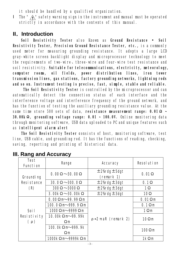it should be handled by a qualified organization.

I The "  $\wedge$  " safety warning sign in the instrument and manual must be operated strictly in accordance with the contents of this manual.

## **II.Introduction**

**Soil Resistivity Tester** also Known as **Ground Resistance • Soil Resistivity Tester, Precision Ground Resistance Tester, etc.,** is a commonly used meter for measuring grounding resistance. It adopts a large LCD gray-white screen backlight display and microprocessor technology to meet the requirements of two-wire、three-wire and four-wire test resistance and soil resistivity. **Suitable for telecommunications, electricity, meteorology, computer rooms, oil fields, power distribution lines, iron tower transmission lines, gas stations, factory grounding networks, lightning rods and so on. Instrument testing is precise, fast, simple, stable and reliable.** 

**The Soil Resistivity Tester** is controlled by the microprocessor and can automatically detect the connection status of each interface and the interference voltage and interference frequency of the ground network, and has the function of testing the auxiliary grounding resistance value. At the same time store 500 sets of data, **resistance measurement range: 0.01Ω ~ 30.00kΩ, grounding voltage range: 0.01 ~ 100.0V.** Online monitoring data through monitoring software, USB data uploaded to PC and unique features such as **intelligent alarm alert**

**The Soil Resistivity Tester c**onsists of host, monitoring software, test line, USB cable, and grounding rod. It has the functions of reading, checking, saving, reporting and printing of historical data.

| <b>Test</b><br><b>Function</b>                | <b>Range</b>                                          | <b>Accuracy</b>                      | <b>Resolution</b> |
|-----------------------------------------------|-------------------------------------------------------|--------------------------------------|-------------------|
| <b>Grounding</b>                              | 0.00 $\Omega$ $\sim$ 30.00 $\Omega$                   | $\pm$ 2% dg $\pm$ 5dgt<br>(remark 1) | $0.01 \Omega$     |
| <b>Resistance</b>                             | 30.0 $\Omega$ $\sim$ 300.0 $\Omega$                   | $\pm$ 2% dg $\pm$ 3dgt               | $0.1\Omega$       |
| (R)                                           | $300\Omega \sim 3000\Omega$                           | $\pm$ 2% dg $\pm$ 3dgt               | $1\Omega$         |
|                                               | 3.00 $\mathbf{k}\Omega \sim$ 30.00 $\mathbf{k}\Omega$ | $\pm$ 2% dg $\pm$ 3dgt               | 10 <sup>°</sup>   |
| <b>Soil</b><br><b>Resistivity</b><br>$(\rho)$ | $0.000 \,\mathrm{m}$ 99.99 $\Omega$ m                 | $\rho = 2 \pi$ aR (remark 2)         | $0.01 \Omega m$   |
|                                               | 100.0 $\Omega$ m 999.9 $\Omega$ m                     |                                      | $0.1 \Omega$ m    |
|                                               | $1000\Omega$ m $-9999\Omega$ m                        |                                      | $1\Omega$ m       |
|                                               | 10.00kΩ m 99.99k<br>$\Omega$ m                        |                                      | $10\Omega$ m      |
|                                               | 100. Oko m-999. 9k<br>$\Omega$ m                      |                                      | $100\Omega$ m     |
|                                               | $1000 \& \Omega$ m $9999 \& \Omega$ m                 |                                      | $1k\Omega$ m      |

# **III. Rang and Accuracy**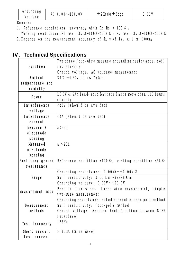| <b>Grounding</b><br><b>Voltage</b> | AC 0.00 $\sim$ 100.0V | $\pm$ 2% dg $\pm$ 3dgt | <b>0. OLV</b> |
|------------------------------------|-----------------------|------------------------|---------------|
|                                    |                       |                        |               |

Remark:

- 1. Reference conditions: accuracy with Rh Rs < 100 Ω.
- Working conditions:Rh max=3kΩ+100R<50kΩ; Rs max=3kΩ+100R<50kΩ
- 2. Depends on the measurement accuracy of R,  $\pi$  =3.14, a:1 m~100m;

# **IV.Technical Specifications**

|                       | Two three four-wire measure grounding resistance, soil             |
|-----------------------|--------------------------------------------------------------------|
| <b>Function</b>       | resistivity;                                                       |
|                       | Ground voltage, AC voltage measurement                             |
| <b>Ambient</b>        | 23°C $\pm$ 5°C, below 75%rh                                        |
| temperature and       |                                                                    |
| humidity              |                                                                    |
|                       | DC 6V 4.5Ah lead-acid battery lasts more than 100 hours            |
| <b>Power</b>          | standby                                                            |
| <b>Interference</b>   | <20V (should be avoided)                                           |
| <b>voltage</b>        |                                                                    |
| <b>Interference</b>   | <2A (should be avoided)                                            |
| current               |                                                                    |
| <b>Measure R</b>      | a > 5d                                                             |
| electrode             |                                                                    |
| <b>spacing</b>        |                                                                    |
| <b>Measured</b>       | a > 20h                                                            |
| electrode             |                                                                    |
| <b>spacing</b>        |                                                                    |
| Auxiliary ground      | Reference condition <100 $\Omega$ , working condition <5k $\Omega$ |
| resistance            |                                                                    |
|                       | Grounding resistance: 0.00 $\Omega$ ~30.00k $\Omega$               |
| Range                 | Soil resistivity: $0.00 \Omega$ m $\sim$ 9999k $\Omega$ m          |
|                       | Grounding voltage: $0.00V^\sim 100.0V$                             |
|                       | Precise four-wire, three-wire measurement, simple                  |
| measurement mode      | two-wire measurement                                               |
|                       | Grounding resistance: rated current change pole method             |
| <b>Measurement</b>    | Soil resistivity: four-pole method                                 |
| methods               | Ground Voltage: Average Rectification(between S-ES                 |
|                       | interface)                                                         |
| <b>Test frequency</b> | <b>128Hz</b>                                                       |
| Short circuit         | > 20mA (Sine Wave)                                                 |
| test current          |                                                                    |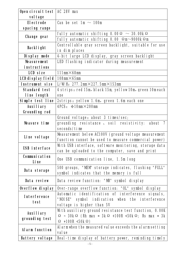| Open circuit test   AC 28V max<br>vol tage |                                                                                 |
|--------------------------------------------|---------------------------------------------------------------------------------|
| <b>Electrode</b>                           | Can be set 1m $\sim$ 100m                                                       |
| spacing range                              |                                                                                 |
| Change gear                                | fully automatic shifting $0.00\Omega ~\sim ~30.00$ k $\Omega$                   |
|                                            | fully automatic shifting 0.00 $\Omega$ m $\sim$ 9000k $\Omega$ m                |
| <b>Backlight</b>                           | Controllable gray screen backlight, suitable for use                            |
|                                            | in dim places                                                                   |
| Display mode                               | 4-bit large LCD display, gray screen backlight                                  |
| <b>Measurement</b>                         | LED flashing indicator during measurement                                       |
| <i>instructions</i>                        |                                                                                 |
| LCD size                                   | 111mm $\times$ 68mm                                                             |
| LCD display field                          | 108mm $\times$ 65mm                                                             |
| Instrument size                            | L/WH: $277.2$ mm $\times$ 227.5mm $\times$ 153mm                                |
| <b>Standard test</b>                       | 4 strips: red 15m, black 15m, yellow 10m, green 10m each                        |
| line length                                | one                                                                             |
| Simple test line                           | 2strips: yellow 1.6m, green 1.6m each one                                       |
| <b>Auxiliary</b>                           | 4PCS: $\Phi$ 10mm $\times$ 200mm                                                |
| Grounding rod                              |                                                                                 |
|                                            | Ground voltage: about 3 times/sec;                                              |
| Measure time                               | grounding resistance, soil resistivity: about 7                                 |
|                                            | seconds/time                                                                    |
| Line voltage                               | Measurement below AC100V (ground voltage measurement                            |
|                                            | function cannot be used to measure commercial power)                            |
| <b>USB interface</b>                       | With USB interface, software monitoring, storage data                           |
|                                            | can be uploaded to the computer, save and print                                 |
| <b>Communication</b>                       | One USB communication line, 1.5m long                                           |
| Line                                       |                                                                                 |
| Data storage                               | 500 groups, "MEM" storage indicates, flashing "FULL"                            |
|                                            | symbol indicates that the memory is full                                        |
| Data review                                | Data review function: "MR" symbol display                                       |
| Overflow display                           | Over-range overflow function: "OL" symbol display                               |
| <b>Interference</b>                        | Automatic identification of interference signals,                               |
| test                                       | "NOISE" symbol indication when the interference                                 |
|                                            | voltage is higher than 5V                                                       |
| <b>Auxiliary</b><br>grounding test         | With auxiliary ground resistance test function, 0.00K                           |
|                                            | $\Omega$ ~ 30k $\Omega$ (Rh max = 3k $\Omega$ +100R <50k $\Omega$ ; Rs max = 3k |
|                                            | $\Omega$ +100R <50k $\Omega$ )                                                  |
| <b>Alarm function</b>                      | Alarmwhen the measured value exceeds the alarm setting                          |
|                                            | value                                                                           |
| <b>Battery voltage</b>                     | Real-time display of battery power, reminding timely                            |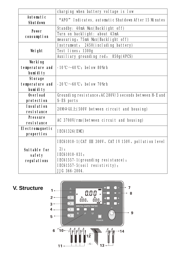|                                     | charging when battery voltage is low                         |  |
|-------------------------------------|--------------------------------------------------------------|--|
| <b>Automatic</b><br><b>Shutdown</b> | "APO" Indicates, automatic Shutdown After 15 Minutes         |  |
| <b>Power</b>                        | Standby: 40mA Max(Backlight off)                             |  |
| consumpt i on                       | Turn on backlight: about 43mA                                |  |
|                                     | measuring: 75mA Max(Backlight off)                           |  |
|                                     | Instrument: 2450(including battery)                          |  |
| Weight                              | Test lines: 1300g                                            |  |
|                                     | Auxiliary grounding rod: 850g(4PCS)                          |  |
| Working                             |                                                              |  |
| temperature and                     | $-10^{\circ}\text{C} \sim 40^{\circ}\text{C}$ ; below 80% h  |  |
| humidity                            |                                                              |  |
| <b>Storage</b>                      |                                                              |  |
| temperature and                     | $-20^{\circ}\text{C}\sim 60^{\circ}\text{C}$ ; below 70%rh   |  |
| humidity                            |                                                              |  |
| <b>Overload</b>                     | Grounding resistance: AC 280V/3 seconds between H-E and      |  |
| protection                          | S-ES ports                                                   |  |
| <b>Insulation</b>                   | 20M $\Omega$ $\&$ $\pm$ (500V between circuit and housing)   |  |
| resistance                          |                                                              |  |
| <b>Pressure</b>                     | AC 3700V/rms(between circuit and housing)                    |  |
| resistance                          |                                                              |  |
| Electromagnetic                     | <b>IEC61326(EMC)</b>                                         |  |
| properties                          |                                                              |  |
|                                     | IEC61010-1(CAT III 300V. CAT IV 150V. pollution level        |  |
| Suitable for                        | 2)                                                           |  |
|                                     | IEC61010-031:<br>safety<br>IEC61557-1(grounding resistance); |  |
| <b>regulations</b>                  |                                                              |  |
|                                     | IEC61557-5(soil resistivity);                                |  |
|                                     | JJG 366-2004.                                                |  |

**V. Structure**

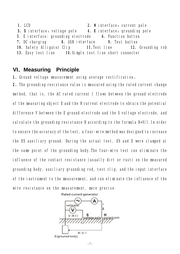**1. LCD 2. H** interface: current pole **3. S** interface:voltage pole **4. E** interface:grounding pole **5**. E interface: grounding electrode **6.** Function button **7.** DC charging **8.** USB interface **9.** Test button **10.** Safety Alligator Clip **11.**Test line **12.** Grounding rob **13.** Easy test line **14.**Simple test line short connector

## **VI.Measuring Principle**

1. Ground voltage measurement using average rectification.

**2**.The grounding resistance value is measured using the rated current change method, that is, the AC rated current I flows between the ground electrode of the measuring object E and the H current electrode to obtain the potential difference V between the E ground electrode and the S voltage electrode, and calculate the grounding resistance R according to the formula R=V/I.In order to ensure the accuracy of the test, a four-wire method was designed to increase the ES auxiliary ground. During the actual test, ES and E were clamped at the same point of the grounding body.The four-wire test can eliminate the influence of the contact resistance (usually dirt or rust) on the measured grounding body, auxiliary grounding rod, test clip, and the input interface of the instrument to the measurement, and can eliminate the influence of the wire resistance on the measurement, more precise.

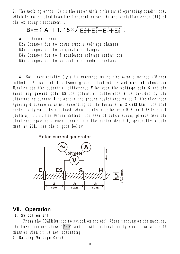**3**.The working error (**B**) is the error within the rated operating conditions, which is calculated from the inherent error (**A**) and variation error (**Ei**) of the existing instrument.。

 $B=\pm$  (|A|+1. 15 $\times\sqrt{E_2^2+E_3^2+E_4^2+E_5^2}$ )

- **A**: inherent error
- **E2**: Changes due to power supply voltage changes
- **E3:** Changes due to temperature changes
- **E4**: Changes due to disturbance voltage variations
- **E5:** Changes due to contact electrode resistance

**4**.Soil resistivity (**ρ**) is measured using the 4-pole method (Winner method): AC current I between ground electrode E and **current electrode H**,calculate the potential difference **V** between the **voltage pole S** and the **auxiliary ground pole ES**,the potential difference **V** is divided by the alternating current **I** to obtain the ground resistance value **R**, the electrode spacing distance is **a(m)**,according to the formula **ρ=2πaR(Ωm)**, the soil resistivity value is obtained, when the distance between **H-S** and **S-ES** is equal (both **a**), it is the Wenner method. For ease of calculation, please make the electrode spacing **a** much larger than the buried depth **h**, generally should meet **a**> 20**h**, see the figure below.



## **VII.Operation**

#### **1**.**Switch on/off**

Press the POWER button to switch on and off. After turning on the machine, the lower corner shows "APO" and it will automatically shut down after 15 minutes when it is not operating.

**2.Battery Voltage Check**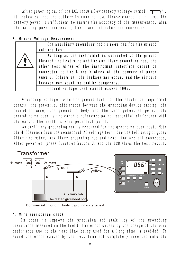After powering on, if the LCD shows a low battery voltage symbol it indicates that the battery is running low. Please charge it in time. The battery power is sufficient to ensure the accuracy of the measurement. When the battery power decreases, the power indicator bar decreases.

#### **3.Ground Voltage Measurement**

**One auxiliary grounding rod is required for the ground voltage test.** 

**As long as the instrument is connected to the ground through the test wire and the auxiliary grounding rod, the other test wires of the instrument interface cannot be connected to the L and N wires of the commercial power supply. Otherwise, the leakage may occur, and the circuit breaker may start up and be dangerous.** 

**Ground voltage test cannot exceed 100V。**

Grounding voltage: when the ground fault of the electrical equipment occurs, the potential difference between the grounding device casing, the grounding wire, the grounding body and the zero potential point, the grounding voltage is the earth's reference point, potential difference with the earth, the earth is zero potential point.

An auxiliary grounding rod is required for the ground voltage test. Note the difference from the commercial AC voltage test. See the following figure: After the meter, auxiliary grounding rod and test line are all connected, after power on, press function button U, and the LCD shows the test result.



Commercial grounding body to ground voltage test

#### **4.Wire resistance check**

In order to improve the precision and stability of the grounding resistance measured in the field, the error caused by the change of the wire resistance due to the test line being used for a long time is avoided; To avoid the error caused by the test line not completely inserted into the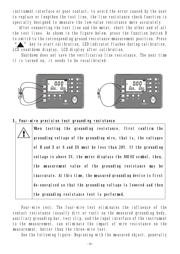instrument interface or poor contact; to avoid the error caused by the user to replace or lengthen the test line, the line resistance check function is specially designed to measure the low-value resistance more accurately.

After connecting the test line and the meter, short the other end of all the test lines. As shown in the figure below, press the function button R to switch to the corresponding ground resistance measurement position. Press

key to start calibration, LED indicator flashes during calibration, LCD countdown display, LCD display after calibration.

Shutdown does not save the verification line resistance. The next time it is turned on, it needs to be recalibrated.



#### **5.Four-wire precision test grounding resistance**

**When testing the grounding resistance, first confirm the grounding voltage of the grounding wire, that is, the voltages of H and E or S and ES must be less than 20V. If the grounding voltage is above 5V, the meter displays the NOISE symbol, then, the measurement value of the grounding resistance may be inaccurate. At this time, the measured grounding device is first de-energized so that the grounding voltage is lowered and then the grounding resistance test is performed.**

Four-wire test: The four-wire test eliminates the influence of the contact resistance (usually dirt or rust) on the measured grounding body, auxiliary grounding bar, test clip, and the input interface of the instrument to the measurement, can eliminate the impact of wire resistance on the measurement, better than the three-wire test.

See the following figure: Beginning with the measured object, generally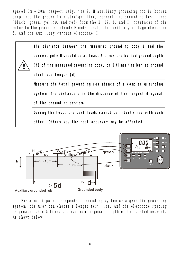spaced 5m ~ 20m, respectively, the **S**, **H** auxiliary grounding rod is buried deep into the ground in a straight line, connect the grounding test lines (black, green, yellow, and red) from the **E**, **ES**, **S**, and **H** interfaces of the meter to the ground electrode **E** under test, the auxiliary voltage electrode **S**, and the auxiliary current electrode **H**.





 For a multi-point independent grounding system or a geodetic grounding system, the user can choose a longer test line, and the electrode spacing is greater than 5 times the maximum diagonal length of the tested network. As shown below: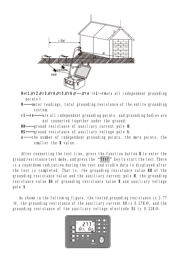

**R=r1∥r2∥r3∥r4∥r5∥r6∥…∥rn**(**r1**…**rn**are all independent grounding points)

**R——**meter readings, total grounding resistance of the entire grounding system;

- **r1…rn——**are all independent grounding points, and grounding bodies are not connected together under the ground;
- **RH——**ground resistance of auxiliary current pole **H**;
- **RS——**ground resistance of auxiliary voltage pole **S**;
- **n——**the number of independent grounding points, the more points, the smaller the **R** value.

After connecting the test line, press the function button **R** to enter the ground resistance test mode, and press the "**TEST**" key to start the test.There is a countdown indication during the test and stable data is displayed after the test is completed. That is, the grounding resistance value **RH** of the grounding resistance value and the auxiliary current pole **H**, the grounding resistance value **RS** of grounding resistance value **R** and auxiliary voltage pole **S**.

As shown in the following figure, the tested grounding resistance is 2.77  $Ω$ , the grounding resistance of the auxiliary current RH is 0.27K $Ω$ , and the grounding resistance of the auxiliary voltage electrode RS is 0.22KΩ.

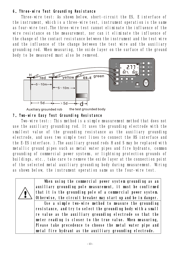#### **6.Three-wire Test Grounding Resistance**

Three-wire test: As shown below, short-circuit the ES, E interface of the instrument, which is a three-wire test, instrument operation is the same as four-wire test.The three-wire test cannot eliminate the influence of the wire resistance on the measurement, nor can it eliminate the influence of the change of the contact resistance between the instrument and the test wire and the influence of the change between the test wire and the auxiliary grounding rod. When measuring, the oxide layer on the surface of the ground body to be measured must also be removed.



Auxiliary grounded rob

**7.Two-wire Easy Test Grounding Resistance** 

Two-wire test:: This method is a simple measurement method that does not use the auxiliary grounding rod. It uses the grounding electrode with the smallest value of the grounding resistance as the auxiliary grounding electrode, and uses two simple test lines to connect the HS interface and the E-ES interface. ).The auxiliary ground rods H and S may be replaced with metallic ground pipes such as metal water pipes and fire hydrants, common grounding of commercial power systems, or lightning protection grounds of buildings, etc., take care to remove the oxide layer at the connection point of the selected metal auxiliary grounding body during measurement. Wiring as shown below, the instrument operation same as the four-wire test.



**When using the commercial power system grounding as an auxiliary grounding pole measurement, it must be confirmed that it is the grounding pole of a commercial power system. Otherwise, the circuit breaker may start up and be in danger.**

**Use a simple two-wire method to measure the grounding resistance, and try to select the grounding body with a small re value as the auxiliary grounding electrode so that the meter reading is closer to the true value. When measuring, Please take precedence to choose the metal water pipe and metal fire hydrant as the auxiliary grounding electrode.**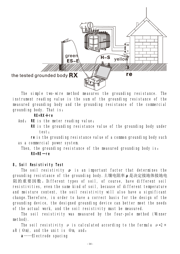

The simple two-wire method measures the grounding resistance. The instrument reading value is the sum of the grounding resistance of the measured grounding body and the grounding resistance of the commercial grounding body. That is:

**RE=RX+re** 

And: **RE** is the meter reading value;

**RX** is the grounding resistance value of the grounding body under test;

**re** is the grounding resistance value of a common grounding body such as a commercial power system.

Then, the grounding resistance of the measured grounding body is: **RX=RE-re** 

#### **8.Soil Resistivity Test**

The soil resistivity **ρ** is an important factor that determines the grounding resistance of the grounding body.土壤电阻率**ρ**是决定接地体接地电 阻的重要因数。Different types of soil, of course, have different soil resistivities, even the same kind of soil, because of different temperature and moisture content, the soil resistivity will also have a significant change.Therefore, in order to have a correct basis for the design of the grounding device, the designed grounding device can better meet the needs of the actual work, and the soil resistivity must be measured.

The soil resistivity was measured by the four-pole method (Winner method).

The soil resistivity  $\rho$  is calculated according to the formula  $\rho = 2 \pi$ aR ( $\Omega$ m), and the unit is  $\Omega$ m, and:

**a**——Electrode spacing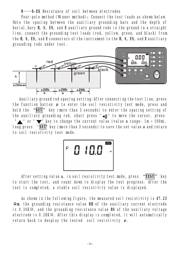#### **R**——**S-ES** Resistance of soil between electrodes

Four-pole method (Winner method): Connect the test leads as shown below. Note the spacing between the auxiliary grounding bars and the depth of burial,bury **H, S, ES,** and **E** auxiliary ground rods in the ground in a straight line, connect the grounding test leads (red, yellow, green, and black) from the **H, S, ES,** and **E** connectors of the instrument to the **H, S, ES,** and **E** auxiliary grounding rods under test.



Auxiliary ground rod spacing setting:After connecting the test line, press the function button **ρ** to enter the soil resistivity test mode, press and hold the "**SET**" key (more than 3 seconds) to enter the spacing setting of the auxiliary grounding rod, short press " $\omega$ ))" to move the cursor, press " or " w" key to change the current value (value a range: 1m ~ 100m), long press "**SET**" key (more than 3 seconds) to save the set value **a** and return to soil resistivity test mode.



After setting value **a**, in soil resistivity test mode, press "**TEST**" key to start the test, and count down to display the test progress. After the test is completed, a stable soil resistivity value is displayed.

As shown in the following figure, the measured soil resistivity is **47.23 Ωm**, the grounding resistance value **RH** of the auxiliary current electrode is 0.34KΩ, and the grounding resistance value **RS** of the auxiliary voltage electrode is 0.28KΩ. After this display is completed, it will automatically return back to desplay the tested soil resistivity **ρ**.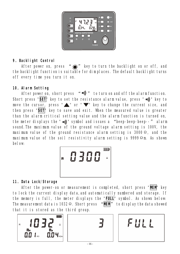

## **9**.**Backlight Control**

After power on, press " $\frac{1}{2}$ " key to turn the backlight on or off, and the backlight function is suitable for dim places. The default backlight turns off every time you turn it on.

## **10**.**Alarm Setting**

After power on, short press  $\left( u \right)$   $\left( v \right)$  to turn on and off the alarm function. Short press "SET" key to set the resistance alarm value, press " .))" key to move the cursor, press "A" or " $\nabla$ " key to change the current size, and then press "**SET**" key to save and exit. When the measured value is greater than the alarm critical setting value and the alarm function is turned on, the meter displays the " $\omega$ ) " symbol and issues a "beep-beep-beep--" alarm sound.The maximum value of the ground voltage alarm setting is 100V, the maximum value of the ground resistance alarm setting is 3000 Ω, and the maximum value of the soil resistivity alarm setting is 9999 Ωm. As shown below:



## **11**.**Data Lock/Storage**

After the power-on or measurement is completed, short press "**MEM**" key to lock the current display data, and automatically numbered and storage. If the memory is full, the meter displays the "**FULL**" symbol. As shown below: The measurement data is 1032Ω. Short press "**MEM**" to display the data showed that it is stored as the third group.





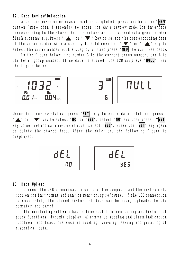#### **12.Data Review/Delection**

After the power on or measurement is completed, press and hold the "**MEM**" button (more than 3 seconds) to enter the data review mode.The interface corresponding to the stored data interface and the stored data group number flash alternately. Press "  $\blacktriangle$  " or "  $\blacktriangledown$  " key to select the corresponding data of the array number with a step by 1, hold down the " $\blacktriangledown$ " or " $\blacktriangle$ " key to select the array number with a step by 5, then press "**MEM**" to exit.See below

In the figure below, the number 3 is the current group number, and 6 is the total group number. If no data is stored, the LCD displays "**NULL**". See the figure below.



Under data review status, press "**SET**" key to enter data deletion, press " **\*\*\*** or " \*\*\*\* key to select "NO' or "YES", select "NO' and then press "SET" key to not return data review status, select "**YES**". Press the "**SET**" key again to delete the stored data. After the deletion, the following figure is displayed.



#### **13**.**Data Upload**

Connect the USB communication cable of the computer and the instrument, turn on the instrument and run the monitoring software. If the USB connection is successful, the stored historical data can be read, uploaded to the computer and saved.

**The monitoring software** has on-line real-time monitoring and historical query functions, dynamic display, alarm value setting and alarm indication function, and functions such as reading, viewing, saving and printing of historical data.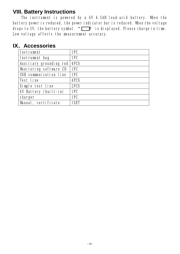# **VIII. Battery Instructions**

The instrument is powered by a 6V 4.5AH lead-acid battery. When the battery power is reduced, the power indicator bar is reduced. When the voltage drops to 5V, the battery symbol  $\mathcal{L}$  is displayed. Please charge in time. Low voltage affects the measurement accuracy.

# **IX.Accessories**

| <b>Instrument</b>       | 1PC         |
|-------------------------|-------------|
| Instrument bag          | 1PC         |
| Auxiliary grounding rod | <b>4PCS</b> |
| Monitoring software CD  | 1PC         |
| USB communication line  | 1PC         |
| <b>Test line</b>        | <b>4PCS</b> |
| Simple test line        | 2PCS        |
| 6V Battery (built-in)   | 1PC         |
| charger                 | 1PC         |
| Manual, certificate     | 1SET        |